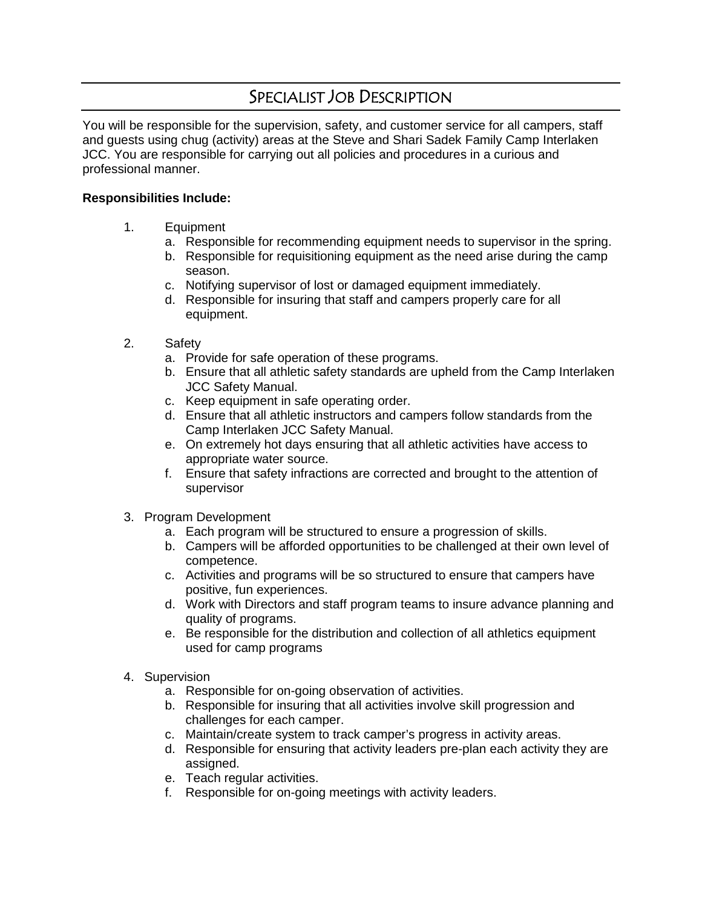## SPECIALIST JOB DESCRIPTION

You will be responsible for the supervision, safety, and customer service for all campers, staff and guests using chug (activity) areas at the Steve and Shari Sadek Family Camp Interlaken JCC. You are responsible for carrying out all policies and procedures in a curious and professional manner.

## **Responsibilities Include:**

- 1. Equipment
	- a. Responsible for recommending equipment needs to supervisor in the spring.
	- b. Responsible for requisitioning equipment as the need arise during the camp season.
	- c. Notifying supervisor of lost or damaged equipment immediately.
	- d. Responsible for insuring that staff and campers properly care for all equipment.
- 2. Safety
	- a. Provide for safe operation of these programs.
	- b. Ensure that all athletic safety standards are upheld from the Camp Interlaken JCC Safety Manual.
	- c. Keep equipment in safe operating order.
	- d. Ensure that all athletic instructors and campers follow standards from the Camp Interlaken JCC Safety Manual.
	- e. On extremely hot days ensuring that all athletic activities have access to appropriate water source.
	- f. Ensure that safety infractions are corrected and brought to the attention of supervisor
- 3. Program Development
	- a. Each program will be structured to ensure a progression of skills.
	- b. Campers will be afforded opportunities to be challenged at their own level of competence.
	- c. Activities and programs will be so structured to ensure that campers have positive, fun experiences.
	- d. Work with Directors and staff program teams to insure advance planning and quality of programs.
	- e. Be responsible for the distribution and collection of all athletics equipment used for camp programs
- 4. Supervision
	- a. Responsible for on-going observation of activities.
	- b. Responsible for insuring that all activities involve skill progression and challenges for each camper.
	- c. Maintain/create system to track camper's progress in activity areas.
	- d. Responsible for ensuring that activity leaders pre-plan each activity they are assigned.
	- e. Teach regular activities.
	- f. Responsible for on-going meetings with activity leaders.